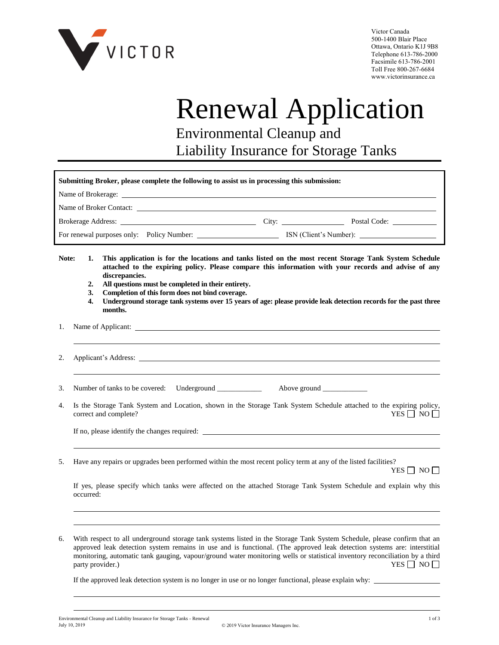

Victor Canada 500-1400 Blair Place Ottawa, Ontario K1J 9B8 Telephone 613-786-2000 Facsimile 613-786-2001 Toll Free 800-267-6684 www.victorinsurance.ca

## Renewal Application Environmental Cleanup and

Liability Insurance for Storage Tanks

| Submitting Broker, please complete the following to assist us in processing this submission: |  |                        |              |  |  |
|----------------------------------------------------------------------------------------------|--|------------------------|--------------|--|--|
|                                                                                              |  |                        |              |  |  |
|                                                                                              |  |                        |              |  |  |
|                                                                                              |  | City:                  | Postal Code: |  |  |
| For renewal purposes only: Policy Number:                                                    |  | ISN (Client's Number): |              |  |  |

**Note: 1. This application is for the locations and tanks listed on the most recent Storage Tank System Schedule attached to the expiring policy. Please compare this information with your records and advise of any discrepancies.**

- **2. All questions must be completed in their entirety.**
- **3. Completion of this form does not bind coverage.**
- **4. Underground storage tank systems over 15 years of age: please provide leak detection records for the past three months.**
- 1. Name of Applicant:

2. Applicant's Address:

3. Number of tanks to be covered: Underground \_\_\_\_\_\_\_\_\_\_\_\_\_\_\_\_ Above ground \_\_\_\_\_

4. Is the Storage Tank System and Location, shown in the Storage Tank System Schedule attached to the expiring policy, correct and complete?  $YES \Box NO \Box$ 

If no, please identify the changes required:

5. Have any repairs or upgrades been performed within the most recent policy term at any of the listed facilities?

YES  $\Box$  NO  $\Box$ 

If yes, please specify which tanks were affected on the attached Storage Tank System Schedule and explain why this occurred:

6. With respect to all underground storage tank systems listed in the Storage Tank System Schedule, please confirm that an approved leak detection system remains in use and is functional. (The approved leak detection systems are: interstitial monitoring, automatic tank gauging, vapour/ground water monitoring wells or statistical inventory reconciliation by a third party provider.) YES  $\Box$  NO  $\Box$ party provider.)

If the approved leak detection system is no longer in use or no longer functional, please explain why: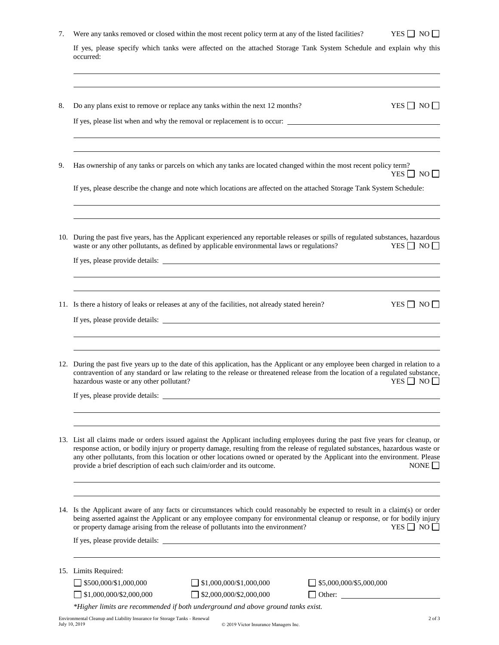|  | Were any tanks removed or closed within the most recent policy term at any of the listed facilities? |  |
|--|------------------------------------------------------------------------------------------------------|--|
|  |                                                                                                      |  |

If yes, please specify which tanks were affected on the attached Storage Tank System Schedule and explain why this occurred:

| 8. | Do any plans exist to remove or replace any tanks within the next 12 months?<br>$YES \Box NO \Box$                                                                                                                                                                                                                                                                                                                                                                                       |
|----|------------------------------------------------------------------------------------------------------------------------------------------------------------------------------------------------------------------------------------------------------------------------------------------------------------------------------------------------------------------------------------------------------------------------------------------------------------------------------------------|
|    | If yes, please list when and why the removal or replacement is to occur:                                                                                                                                                                                                                                                                                                                                                                                                                 |
| 9. | Has ownership of any tanks or parcels on which any tanks are located changed within the most recent policy term?<br>YES $\Box$ NO $\Box$                                                                                                                                                                                                                                                                                                                                                 |
|    | If yes, please describe the change and note which locations are affected on the attached Storage Tank System Schedule:                                                                                                                                                                                                                                                                                                                                                                   |
|    | 10. During the past five years, has the Applicant experienced any reportable releases or spills of regulated substances, hazardous<br>YES $\Box$ NO $\Box$<br>waste or any other pollutants, as defined by applicable environmental laws or regulations?                                                                                                                                                                                                                                 |
|    |                                                                                                                                                                                                                                                                                                                                                                                                                                                                                          |
|    | $YES \Box NO \Box$<br>11. Is there a history of leaks or releases at any of the facilities, not already stated herein?                                                                                                                                                                                                                                                                                                                                                                   |
|    |                                                                                                                                                                                                                                                                                                                                                                                                                                                                                          |
|    | 12. During the past five years up to the date of this application, has the Applicant or any employee been charged in relation to a<br>contravention of any standard or law relating to the release or threatened release from the location of a regulated substance,<br>$YES \Box NO \Box$<br>hazardous waste or any other pollutant?                                                                                                                                                    |
|    |                                                                                                                                                                                                                                                                                                                                                                                                                                                                                          |
|    | 13. List all claims made or orders issued against the Applicant including employees during the past five years for cleanup, or<br>response action, or bodily injury or property damage, resulting from the release of regulated substances, hazardous waste or<br>any other pollutants, from this location or other locations owned or operated by the Applicant into the environment. Please<br>provide a brief description of each such claim/order and its outcome.<br>NONE $\square$ |
|    | 14. Is the Applicant aware of any facts or circumstances which could reasonably be expected to result in a claim(s) or order<br>being asserted against the Applicant or any employee company for environmental cleanup or response, or for bodily injury<br>or property damage arising from the release of pollutants into the environment?<br>$YES \Box NO \Box$                                                                                                                        |
|    | 15. Limits Required:                                                                                                                                                                                                                                                                                                                                                                                                                                                                     |
|    | $\overline{\phantom{0}}$ \$500,000/\$1,000,000<br>$\Box$ \$1,000,000/\$1,000,000<br>\$5,000,000/\$5,000,000<br>$\Box$ \$2,000,000/\$2,000,000<br>\$1,000,000/\$2,000,000                                                                                                                                                                                                                                                                                                                 |
|    | *Higher limits are recommended if both underground and above ground tanks exist.<br>Environmental Cleanup and Liability Insurance for Storage Tanks - Renewal<br>$2$ of $3$<br>July 10, 2019<br>© 2019 Victor Insurance Managers Inc.                                                                                                                                                                                                                                                    |